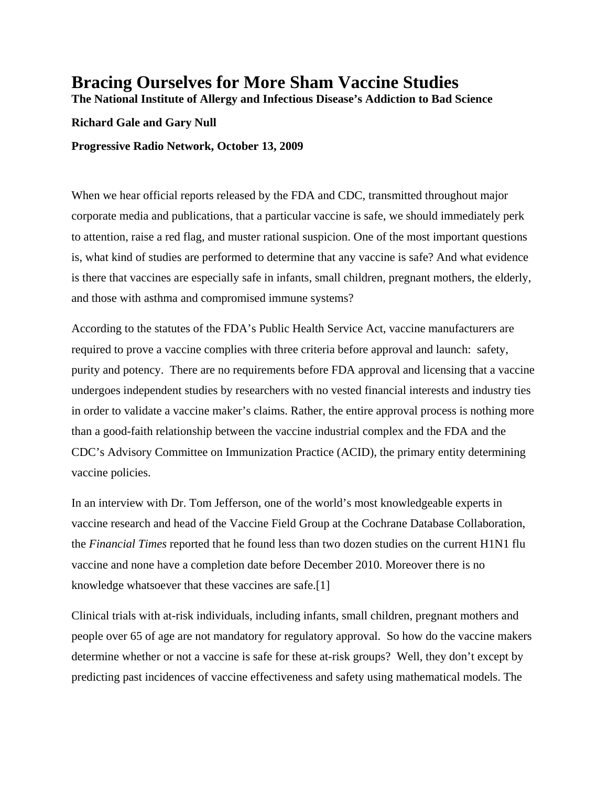## **Bracing Ourselves for More Sham Vaccine Studies**

**The National Institute of Allergy and Infectious Disease's Addiction to Bad Science** 

## **Richard Gale and Gary Null**

**Progressive Radio Network, October 13, 2009** 

When we hear official reports released by the FDA and CDC, transmitted throughout major corporate media and publications, that a particular vaccine is safe, we should immediately perk to attention, raise a red flag, and muster rational suspicion. One of the most important questions is, what kind of studies are performed to determine that any vaccine is safe? And what evidence is there that vaccines are especially safe in infants, small children, pregnant mothers, the elderly, and those with asthma and compromised immune systems?

According to the statutes of the FDA's Public Health Service Act, vaccine manufacturers are required to prove a vaccine complies with three criteria before approval and launch: safety, purity and potency. There are no requirements before FDA approval and licensing that a vaccine undergoes independent studies by researchers with no vested financial interests and industry ties in order to validate a vaccine maker's claims. Rather, the entire approval process is nothing more than a good-faith relationship between the vaccine industrial complex and the FDA and the CDC's Advisory Committee on Immunization Practice (ACID), the primary entity determining vaccine policies.

In an interview with Dr. Tom Jefferson, one of the world's most knowledgeable experts in vaccine research and head of the Vaccine Field Group at the Cochrane Database Collaboration, the *Financial Times* reported that he found less than two dozen studies on the current H1N1 flu vaccine and none have a completion date before December 2010. Moreover there is no knowledge whatsoever that these vaccines are safe.[1]

Clinical trials with at-risk individuals, including infants, small children, pregnant mothers and people over 65 of age are not mandatory for regulatory approval. So how do the vaccine makers determine whether or not a vaccine is safe for these at-risk groups? Well, they don't except by predicting past incidences of vaccine effectiveness and safety using mathematical models. The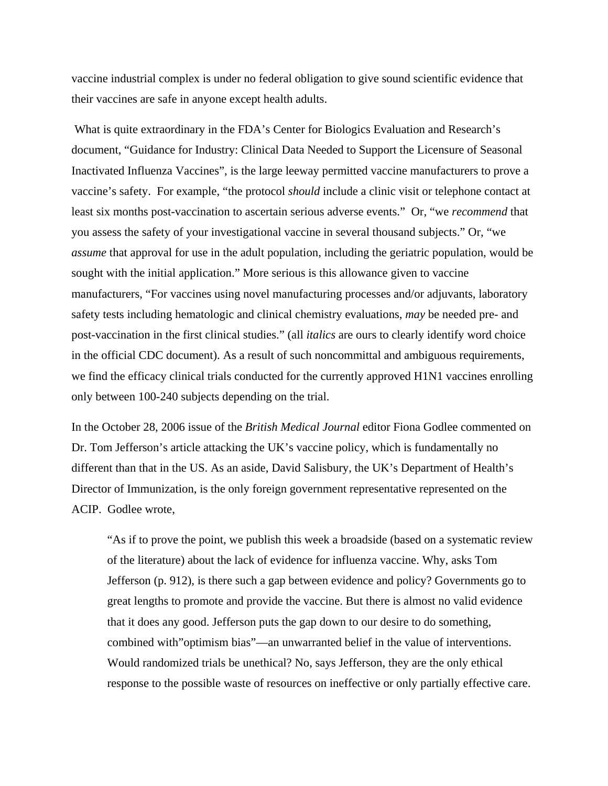vaccine industrial complex is under no federal obligation to give sound scientific evidence that their vaccines are safe in anyone except health adults.

 What is quite extraordinary in the FDA's Center for Biologics Evaluation and Research's document, "Guidance for Industry: Clinical Data Needed to Support the Licensure of Seasonal Inactivated Influenza Vaccines", is the large leeway permitted vaccine manufacturers to prove a vaccine's safety. For example, "the protocol *should* include a clinic visit or telephone contact at least six months post-vaccination to ascertain serious adverse events." Or, "we *recommend* that you assess the safety of your investigational vaccine in several thousand subjects." Or, "we *assume* that approval for use in the adult population, including the geriatric population, would be sought with the initial application." More serious is this allowance given to vaccine manufacturers, "For vaccines using novel manufacturing processes and/or adjuvants, laboratory safety tests including hematologic and clinical chemistry evaluations, *may* be needed pre- and post-vaccination in the first clinical studies." (all *italics* are ours to clearly identify word choice in the official CDC document). As a result of such noncommittal and ambiguous requirements, we find the efficacy clinical trials conducted for the currently approved H1N1 vaccines enrolling only between 100-240 subjects depending on the trial.

In the October 28, 2006 issue of the *British Medical Journal* editor Fiona Godlee commented on Dr. Tom Jefferson's article attacking the UK's vaccine policy, which is fundamentally no different than that in the US. As an aside, David Salisbury, the UK's Department of Health's Director of Immunization, is the only foreign government representative represented on the ACIP. Godlee wrote,

"As if to prove the point, we publish this week a broadside (based on a systematic review of the literature) about the lack of evidence for influenza vaccine. Why, asks Tom Jefferson (p. 912), is there such a gap between evidence and policy? Governments go to great lengths to promote and provide the vaccine. But there is almost no valid evidence that it does any good. Jefferson puts the gap down to our desire to do something, combined with"optimism bias"—an unwarranted belief in the value of interventions. Would randomized trials be unethical? No, says Jefferson, they are the only ethical response to the possible waste of resources on ineffective or only partially effective care.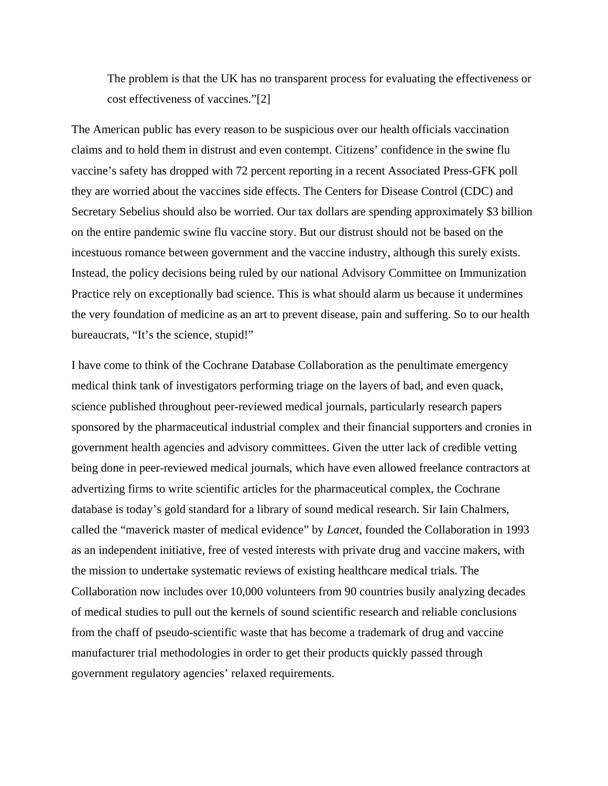The problem is that the UK has no transparent process for evaluating the effectiveness or cost effectiveness of vaccines."[2]

The American public has every reason to be suspicious over our health officials vaccination claims and to hold them in distrust and even contempt. Citizens' confidence in the swine flu vaccine's safety has dropped with 72 percent reporting in a recent Associated Press-GFK poll they are worried about the vaccines side effects. The Centers for Disease Control (CDC) and Secretary Sebelius should also be worried. Our tax dollars are spending approximately \$3 billion on the entire pandemic swine flu vaccine story. But our distrust should not be based on the incestuous romance between government and the vaccine industry, although this surely exists. Instead, the policy decisions being ruled by our national Advisory Committee on Immunization Practice rely on exceptionally bad science. This is what should alarm us because it undermines the very foundation of medicine as an art to prevent disease, pain and suffering. So to our health bureaucrats, "It's the science, stupid!"

I have come to think of the Cochrane Database Collaboration as the penultimate emergency medical think tank of investigators performing triage on the layers of bad, and even quack, science published throughout peer-reviewed medical journals, particularly research papers sponsored by the pharmaceutical industrial complex and their financial supporters and cronies in government health agencies and advisory committees. Given the utter lack of credible vetting being done in peer-reviewed medical journals, which have even allowed freelance contractors at advertizing firms to write scientific articles for the pharmaceutical complex, the Cochrane database is today's gold standard for a library of sound medical research. Sir Iain Chalmers, called the "maverick master of medical evidence" by *Lancet*, founded the Collaboration in 1993 as an independent initiative, free of vested interests with private drug and vaccine makers, with the mission to undertake systematic reviews of existing healthcare medical trials. The Collaboration now includes over 10,000 volunteers from 90 countries busily analyzing decades of medical studies to pull out the kernels of sound scientific research and reliable conclusions from the chaff of pseudo-scientific waste that has become a trademark of drug and vaccine manufacturer trial methodologies in order to get their products quickly passed through government regulatory agencies' relaxed requirements.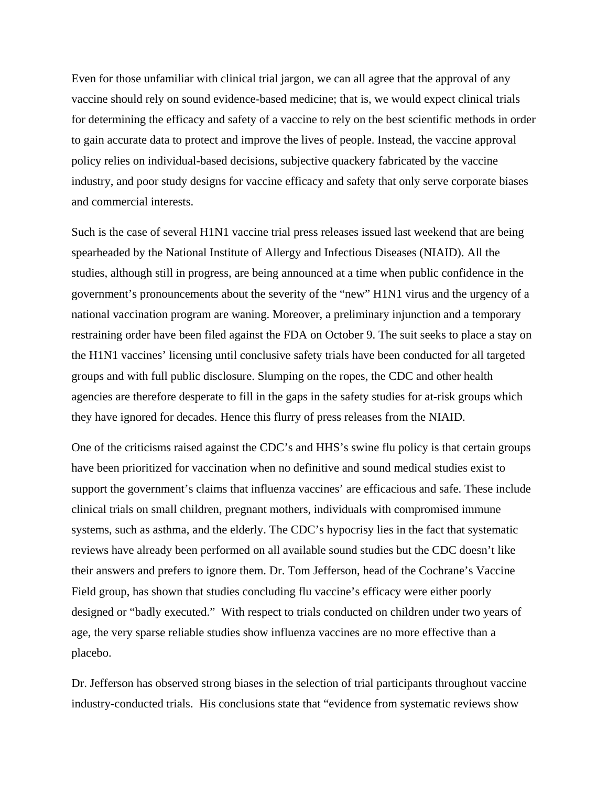Even for those unfamiliar with clinical trial jargon, we can all agree that the approval of any vaccine should rely on sound evidence-based medicine; that is, we would expect clinical trials for determining the efficacy and safety of a vaccine to rely on the best scientific methods in order to gain accurate data to protect and improve the lives of people. Instead, the vaccine approval policy relies on individual-based decisions, subjective quackery fabricated by the vaccine industry, and poor study designs for vaccine efficacy and safety that only serve corporate biases and commercial interests.

Such is the case of several H1N1 vaccine trial press releases issued last weekend that are being spearheaded by the National Institute of Allergy and Infectious Diseases (NIAID). All the studies, although still in progress, are being announced at a time when public confidence in the government's pronouncements about the severity of the "new" H1N1 virus and the urgency of a national vaccination program are waning. Moreover, a preliminary injunction and a temporary restraining order have been filed against the FDA on October 9. The suit seeks to place a stay on the H1N1 vaccines' licensing until conclusive safety trials have been conducted for all targeted groups and with full public disclosure. Slumping on the ropes, the CDC and other health agencies are therefore desperate to fill in the gaps in the safety studies for at-risk groups which they have ignored for decades. Hence this flurry of press releases from the NIAID.

One of the criticisms raised against the CDC's and HHS's swine flu policy is that certain groups have been prioritized for vaccination when no definitive and sound medical studies exist to support the government's claims that influenza vaccines' are efficacious and safe. These include clinical trials on small children, pregnant mothers, individuals with compromised immune systems, such as asthma, and the elderly. The CDC's hypocrisy lies in the fact that systematic reviews have already been performed on all available sound studies but the CDC doesn't like their answers and prefers to ignore them. Dr. Tom Jefferson, head of the Cochrane's Vaccine Field group, has shown that studies concluding flu vaccine's efficacy were either poorly designed or "badly executed." With respect to trials conducted on children under two years of age, the very sparse reliable studies show influenza vaccines are no more effective than a placebo.

Dr. Jefferson has observed strong biases in the selection of trial participants throughout vaccine industry-conducted trials. His conclusions state that "evidence from systematic reviews show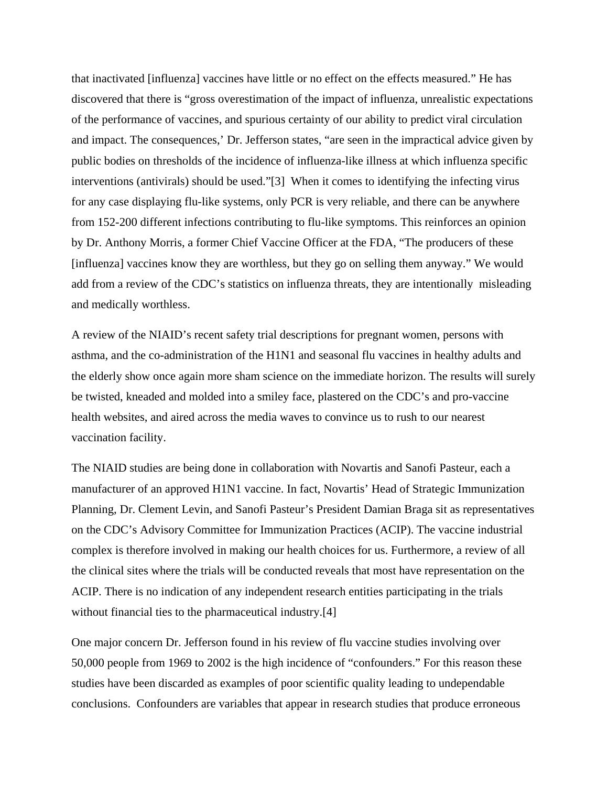that inactivated [influenza] vaccines have little or no effect on the effects measured." He has discovered that there is "gross overestimation of the impact of influenza, unrealistic expectations of the performance of vaccines, and spurious certainty of our ability to predict viral circulation and impact. The consequences,' Dr. Jefferson states, "are seen in the impractical advice given by public bodies on thresholds of the incidence of influenza-like illness at which influenza specific interventions (antivirals) should be used."[3] When it comes to identifying the infecting virus for any case displaying flu-like systems, only PCR is very reliable, and there can be anywhere from 152-200 different infections contributing to flu-like symptoms. This reinforces an opinion by Dr. Anthony Morris, a former Chief Vaccine Officer at the FDA, "The producers of these [influenza] vaccines know they are worthless, but they go on selling them anyway." We would add from a review of the CDC's statistics on influenza threats, they are intentionally misleading and medically worthless.

A review of the NIAID's recent safety trial descriptions for pregnant women, persons with asthma, and the co-administration of the H1N1 and seasonal flu vaccines in healthy adults and the elderly show once again more sham science on the immediate horizon. The results will surely be twisted, kneaded and molded into a smiley face, plastered on the CDC's and pro-vaccine health websites, and aired across the media waves to convince us to rush to our nearest vaccination facility.

The NIAID studies are being done in collaboration with Novartis and Sanofi Pasteur, each a manufacturer of an approved H1N1 vaccine. In fact, Novartis' Head of Strategic Immunization Planning, Dr. Clement Levin, and Sanofi Pasteur's President Damian Braga sit as representatives on the CDC's Advisory Committee for Immunization Practices (ACIP). The vaccine industrial complex is therefore involved in making our health choices for us. Furthermore, a review of all the clinical sites where the trials will be conducted reveals that most have representation on the ACIP. There is no indication of any independent research entities participating in the trials without financial ties to the pharmaceutical industry.[4]

One major concern Dr. Jefferson found in his review of flu vaccine studies involving over 50,000 people from 1969 to 2002 is the high incidence of "confounders." For this reason these studies have been discarded as examples of poor scientific quality leading to undependable conclusions. Confounders are variables that appear in research studies that produce erroneous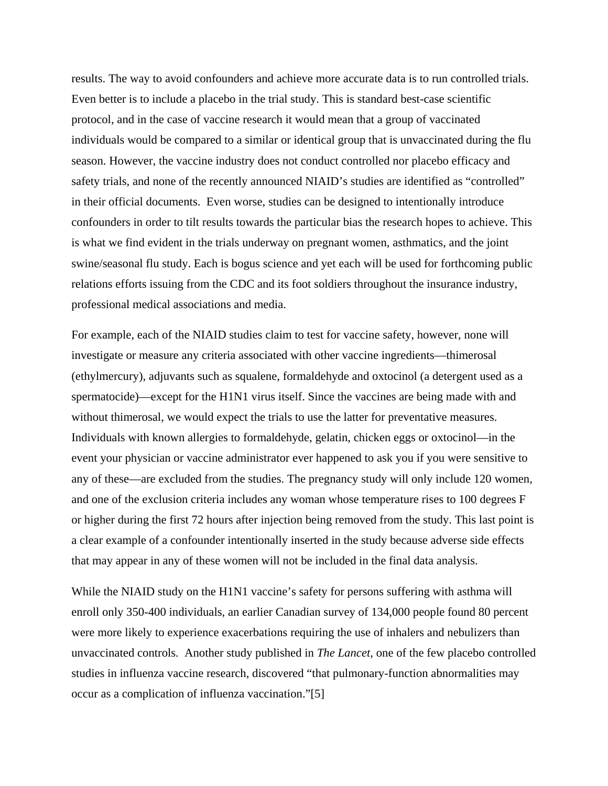results. The way to avoid confounders and achieve more accurate data is to run controlled trials. Even better is to include a placebo in the trial study. This is standard best-case scientific protocol, and in the case of vaccine research it would mean that a group of vaccinated individuals would be compared to a similar or identical group that is unvaccinated during the flu season. However, the vaccine industry does not conduct controlled nor placebo efficacy and safety trials, and none of the recently announced NIAID's studies are identified as "controlled" in their official documents. Even worse, studies can be designed to intentionally introduce confounders in order to tilt results towards the particular bias the research hopes to achieve. This is what we find evident in the trials underway on pregnant women, asthmatics, and the joint swine/seasonal flu study. Each is bogus science and yet each will be used for forthcoming public relations efforts issuing from the CDC and its foot soldiers throughout the insurance industry, professional medical associations and media.

For example, each of the NIAID studies claim to test for vaccine safety, however, none will investigate or measure any criteria associated with other vaccine ingredients—thimerosal (ethylmercury), adjuvants such as squalene, formaldehyde and oxtocinol (a detergent used as a spermatocide)—except for the H1N1 virus itself. Since the vaccines are being made with and without thimerosal, we would expect the trials to use the latter for preventative measures. Individuals with known allergies to formaldehyde, gelatin, chicken eggs or oxtocinol—in the event your physician or vaccine administrator ever happened to ask you if you were sensitive to any of these—are excluded from the studies. The pregnancy study will only include 120 women, and one of the exclusion criteria includes any woman whose temperature rises to 100 degrees F or higher during the first 72 hours after injection being removed from the study. This last point is a clear example of a confounder intentionally inserted in the study because adverse side effects that may appear in any of these women will not be included in the final data analysis.

While the NIAID study on the H1N1 vaccine's safety for persons suffering with asthma will enroll only 350-400 individuals, an earlier Canadian survey of 134,000 people found 80 percent were more likely to experience exacerbations requiring the use of inhalers and nebulizers than unvaccinated controls. Another study published in *The Lancet*, one of the few placebo controlled studies in influenza vaccine research, discovered "that pulmonary-function abnormalities may occur as a complication of influenza vaccination."[5]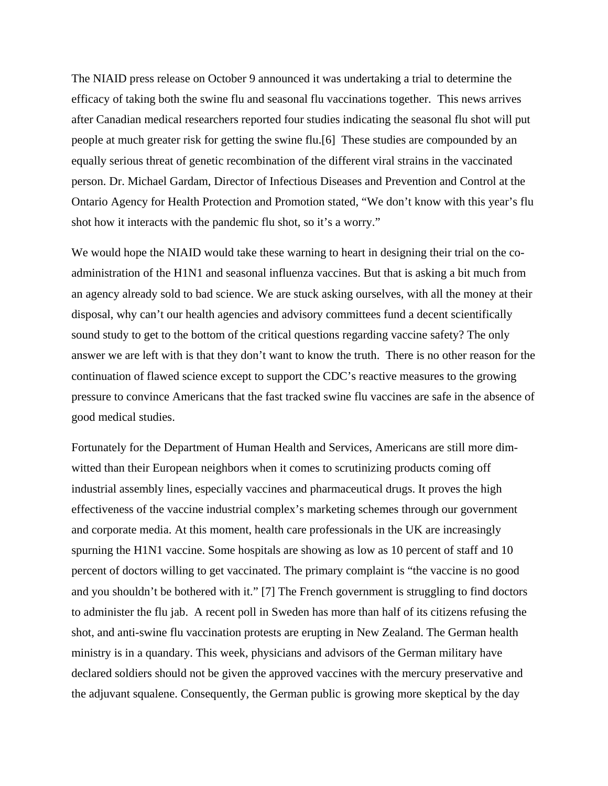The NIAID press release on October 9 announced it was undertaking a trial to determine the efficacy of taking both the swine flu and seasonal flu vaccinations together. This news arrives after Canadian medical researchers reported four studies indicating the seasonal flu shot will put people at much greater risk for getting the swine flu.[6] These studies are compounded by an equally serious threat of genetic recombination of the different viral strains in the vaccinated person. Dr. Michael Gardam, Director of Infectious Diseases and Prevention and Control at the Ontario Agency for Health Protection and Promotion stated, "We don't know with this year's flu shot how it interacts with the pandemic flu shot, so it's a worry."

We would hope the NIAID would take these warning to heart in designing their trial on the coadministration of the H1N1 and seasonal influenza vaccines. But that is asking a bit much from an agency already sold to bad science. We are stuck asking ourselves, with all the money at their disposal, why can't our health agencies and advisory committees fund a decent scientifically sound study to get to the bottom of the critical questions regarding vaccine safety? The only answer we are left with is that they don't want to know the truth. There is no other reason for the continuation of flawed science except to support the CDC's reactive measures to the growing pressure to convince Americans that the fast tracked swine flu vaccines are safe in the absence of good medical studies.

Fortunately for the Department of Human Health and Services, Americans are still more dimwitted than their European neighbors when it comes to scrutinizing products coming off industrial assembly lines, especially vaccines and pharmaceutical drugs. It proves the high effectiveness of the vaccine industrial complex's marketing schemes through our government and corporate media. At this moment, health care professionals in the UK are increasingly spurning the H1N1 vaccine. Some hospitals are showing as low as 10 percent of staff and 10 percent of doctors willing to get vaccinated. The primary complaint is "the vaccine is no good and you shouldn't be bothered with it." [7] The French government is struggling to find doctors to administer the flu jab. A recent poll in Sweden has more than half of its citizens refusing the shot, and anti-swine flu vaccination protests are erupting in New Zealand. The German health ministry is in a quandary. This week, physicians and advisors of the German military have declared soldiers should not be given the approved vaccines with the mercury preservative and the adjuvant squalene. Consequently, the German public is growing more skeptical by the day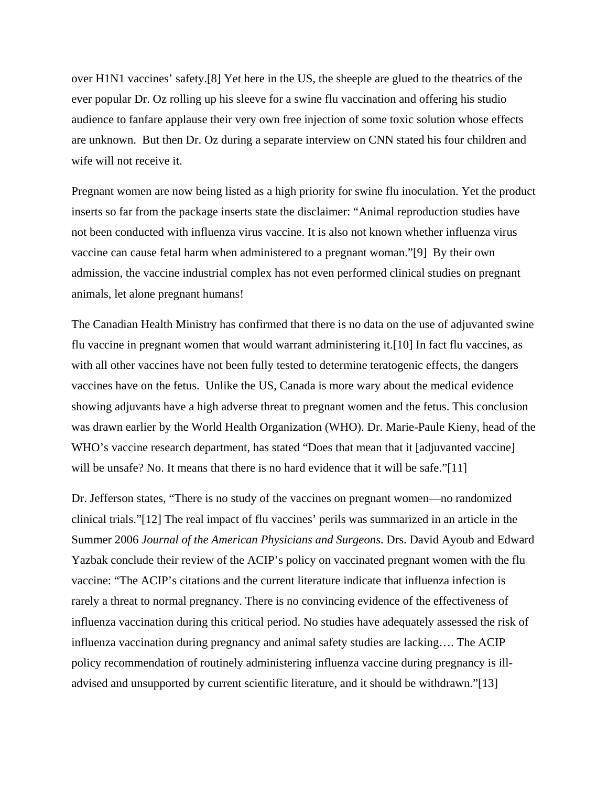over H1N1 vaccines' safety.[8] Yet here in the US, the sheeple are glued to the theatrics of the ever popular Dr. Oz rolling up his sleeve for a swine flu vaccination and offering his studio audience to fanfare applause their very own free injection of some toxic solution whose effects are unknown. But then Dr. Oz during a separate interview on CNN stated his four children and wife will not receive it.

Pregnant women are now being listed as a high priority for swine flu inoculation. Yet the product inserts so far from the package inserts state the disclaimer: "Animal reproduction studies have not been conducted with influenza virus vaccine. It is also not known whether influenza virus vaccine can cause fetal harm when administered to a pregnant woman."[9] By their own admission, the vaccine industrial complex has not even performed clinical studies on pregnant animals, let alone pregnant humans!

The Canadian Health Ministry has confirmed that there is no data on the use of adjuvanted swine flu vaccine in pregnant women that would warrant administering it.[10] In fact flu vaccines, as with all other vaccines have not been fully tested to determine teratogenic effects, the dangers vaccines have on the fetus. Unlike the US, Canada is more wary about the medical evidence showing adjuvants have a high adverse threat to pregnant women and the fetus. This conclusion was drawn earlier by the World Health Organization (WHO). Dr. Marie-Paule Kieny, head of the WHO's vaccine research department, has stated "Does that mean that it [adjuvanted vaccine] will be unsafe? No. It means that there is no hard evidence that it will be safe."[11]

Dr. Jefferson states, "There is no study of the vaccines on pregnant women—no randomized clinical trials."[12] The real impact of flu vaccines' perils was summarized in an article in the Summer 2006 *Journal of the American Physicians and Surgeons*. Drs. David Ayoub and Edward Yazbak conclude their review of the ACIP's policy on vaccinated pregnant women with the flu vaccine: "The ACIP's citations and the current literature indicate that influenza infection is rarely a threat to normal pregnancy. There is no convincing evidence of the effectiveness of influenza vaccination during this critical period. No studies have adequately assessed the risk of influenza vaccination during pregnancy and animal safety studies are lacking…. The ACIP policy recommendation of routinely administering influenza vaccine during pregnancy is illadvised and unsupported by current scientific literature, and it should be withdrawn."[13]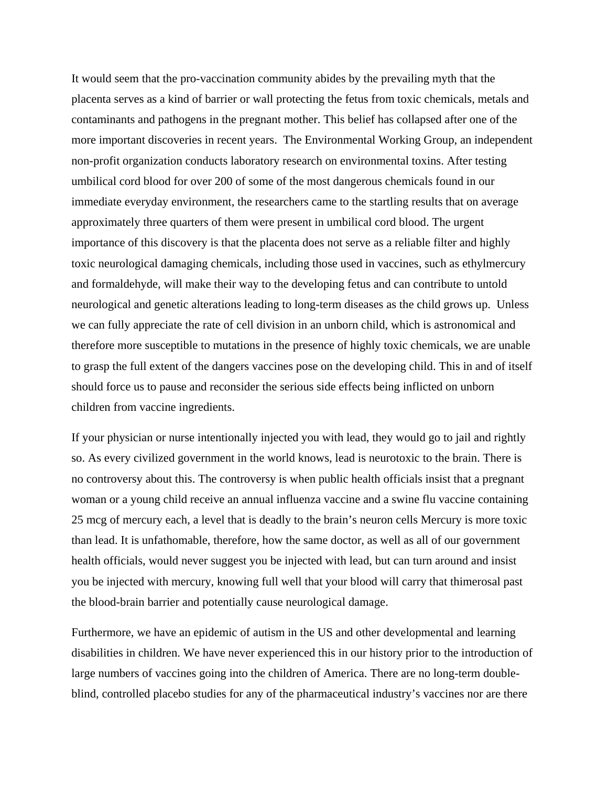It would seem that the pro-vaccination community abides by the prevailing myth that the placenta serves as a kind of barrier or wall protecting the fetus from toxic chemicals, metals and contaminants and pathogens in the pregnant mother. This belief has collapsed after one of the more important discoveries in recent years. The Environmental Working Group, an independent non-profit organization conducts laboratory research on environmental toxins. After testing umbilical cord blood for over 200 of some of the most dangerous chemicals found in our immediate everyday environment, the researchers came to the startling results that on average approximately three quarters of them were present in umbilical cord blood. The urgent importance of this discovery is that the placenta does not serve as a reliable filter and highly toxic neurological damaging chemicals, including those used in vaccines, such as ethylmercury and formaldehyde, will make their way to the developing fetus and can contribute to untold neurological and genetic alterations leading to long-term diseases as the child grows up. Unless we can fully appreciate the rate of cell division in an unborn child, which is astronomical and therefore more susceptible to mutations in the presence of highly toxic chemicals, we are unable to grasp the full extent of the dangers vaccines pose on the developing child. This in and of itself should force us to pause and reconsider the serious side effects being inflicted on unborn children from vaccine ingredients.

If your physician or nurse intentionally injected you with lead, they would go to jail and rightly so. As every civilized government in the world knows, lead is neurotoxic to the brain. There is no controversy about this. The controversy is when public health officials insist that a pregnant woman or a young child receive an annual influenza vaccine and a swine flu vaccine containing 25 mcg of mercury each, a level that is deadly to the brain's neuron cells Mercury is more toxic than lead. It is unfathomable, therefore, how the same doctor, as well as all of our government health officials, would never suggest you be injected with lead, but can turn around and insist you be injected with mercury, knowing full well that your blood will carry that thimerosal past the blood-brain barrier and potentially cause neurological damage.

Furthermore, we have an epidemic of autism in the US and other developmental and learning disabilities in children. We have never experienced this in our history prior to the introduction of large numbers of vaccines going into the children of America. There are no long-term doubleblind, controlled placebo studies for any of the pharmaceutical industry's vaccines nor are there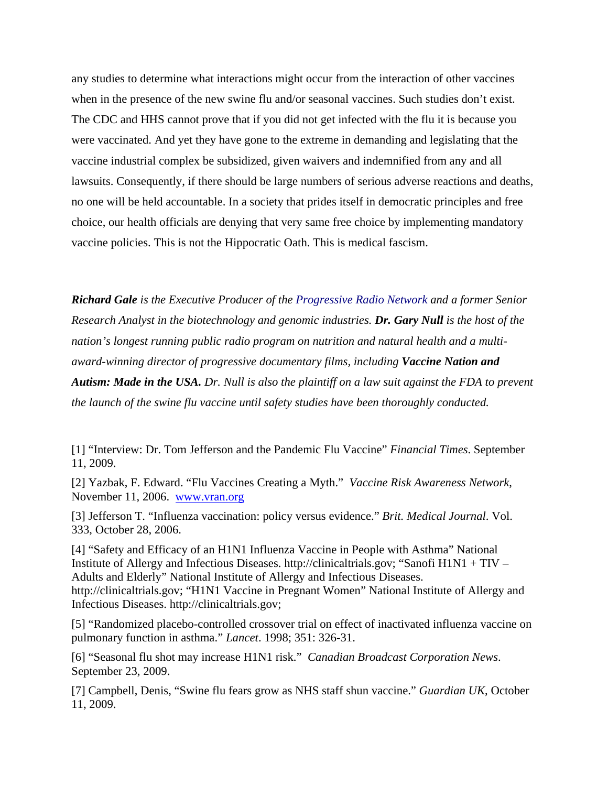any studies to determine what interactions might occur from the interaction of other vaccines when in the presence of the new swine flu and/or seasonal vaccines. Such studies don't exist. The CDC and HHS cannot prove that if you did not get infected with the flu it is because you were vaccinated. And yet they have gone to the extreme in demanding and legislating that the vaccine industrial complex be subsidized, given waivers and indemnified from any and all lawsuits. Consequently, if there should be large numbers of serious adverse reactions and deaths, no one will be held accountable. In a society that prides itself in democratic principles and free choice, our health officials are denying that very same free choice by implementing mandatory vaccine policies. This is not the Hippocratic Oath. This is medical fascism.

*Richard Gale is the Executive Producer of the [Progressive Radio Network a](http://www.globalresearch.ca/admin/rte/www.progressiveradionetwork.com)nd a former Senior Research Analyst in the biotechnology and genomic industries. Dr. Gary Null is the host of the nation's longest running public radio program on nutrition and natural health and a multiaward-winning director of progressive documentary films, including Vaccine Nation and Autism: Made in the USA. Dr. Null is also the plaintiff on a law suit against the FDA to prevent the launch of the swine flu vaccine until safety studies have been thoroughly conducted.* 

[1] "Interview: Dr. Tom Jefferson and the Pandemic Flu Vaccine" *Financial Times*. September 11, 2009.

[2] Yazbak, F. Edward. "Flu Vaccines Creating a Myth." *Vaccine Risk Awareness Network*, November 11, 2006. [www.vran.org](http://www.vran.org/)

[3] Jefferson T. "Influenza vaccination: policy versus evidence." *Brit. Medical Journal*. Vol. 333, October 28, 2006.

[4] "Safety and Efficacy of an H1N1 Influenza Vaccine in People with Asthma" National Institute of Allergy and Infectious Diseases. http://clinicaltrials.gov; "Sanofi H1N1 + TIV – Adults and Elderly" National Institute of Allergy and Infectious Diseases. http://clinicaltrials.gov; "H1N1 Vaccine in Pregnant Women" National Institute of Allergy and Infectious Diseases. http://clinicaltrials.gov;

[5] "Randomized placebo-controlled crossover trial on effect of inactivated influenza vaccine on pulmonary function in asthma." *Lancet*. 1998; 351: 326-31.

[6] "Seasonal flu shot may increase H1N1 risk." *Canadian Broadcast Corporation News*. September 23, 2009.

[7] Campbell, Denis, "Swine flu fears grow as NHS staff shun vaccine." *Guardian UK*, October 11, 2009.